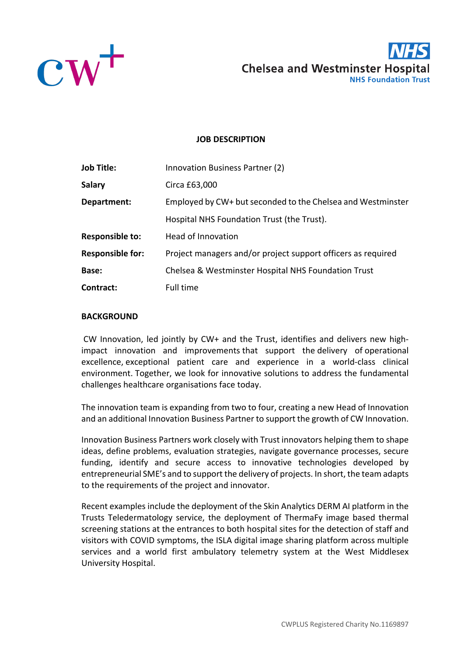



## **JOB DESCRIPTION**

| <b>Job Title:</b>       | Innovation Business Partner (2)                              |  |
|-------------------------|--------------------------------------------------------------|--|
| <b>Salary</b>           | Circa £63,000                                                |  |
| Department:             | Employed by CW+ but seconded to the Chelsea and Westminster  |  |
|                         | Hospital NHS Foundation Trust (the Trust).                   |  |
| <b>Responsible to:</b>  | Head of Innovation                                           |  |
| <b>Responsible for:</b> | Project managers and/or project support officers as required |  |
| Base:                   | Chelsea & Westminster Hospital NHS Foundation Trust          |  |
| Contract:               | Full time                                                    |  |

#### **BACKGROUND**

CW Innovation, led jointly by CW+ and the Trust, identifies and delivers new highimpact innovation and improvements that support the delivery of operational excellence, exceptional patient care and experience in a world-class clinical environment. Together, we look for innovative solutions to address the fundamental challenges healthcare organisations face today.

The innovation team is expanding from two to four, creating a new Head of Innovation and an additional Innovation Business Partner to support the growth of CW Innovation.

Innovation Business Partners work closely with Trust innovators helping them to shape ideas, define problems, evaluation strategies, navigate governance processes, secure funding, identify and secure access to innovative technologies developed by entrepreneurial SME's and to support the delivery of projects. In short, the team adapts to the requirements of the project and innovator.

Recent examples include the deployment of the Skin Analytics DERM AI platform in the Trusts Teledermatology service, the deployment of ThermaFy image based thermal screening stations at the entrances to both hospital sites for the detection of staff and visitors with COVID symptoms, the ISLA digital image sharing platform across multiple services and a world first ambulatory telemetry system at the West Middlesex University Hospital.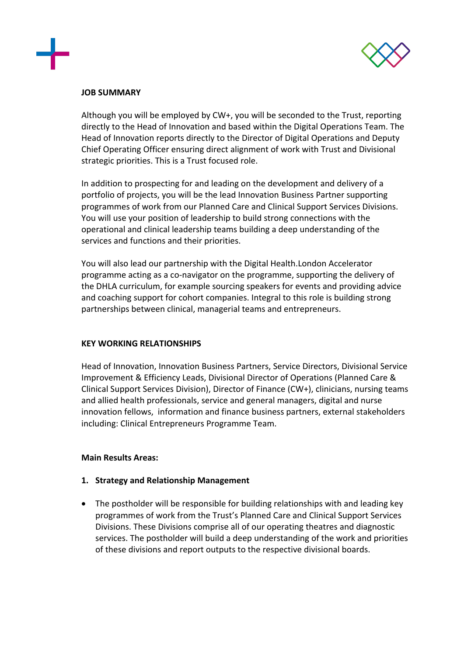



#### **JOB SUMMARY**

Although you will be employed by CW+, you will be seconded to the Trust, reporting directly to the Head of Innovation and based within the Digital Operations Team. The Head of Innovation reports directly to the Director of Digital Operations and Deputy Chief Operating Officer ensuring direct alignment of work with Trust and Divisional strategic priorities. This is a Trust focused role.

In addition to prospecting for and leading on the development and delivery of a portfolio of projects, you will be the lead Innovation Business Partner supporting programmes of work from our Planned Care and Clinical Support Services Divisions. You will use your position of leadership to build strong connections with the operational and clinical leadership teams building a deep understanding of the services and functions and their priorities.

You will also lead our partnership with the Digital Health.London Accelerator programme acting as a co-navigator on the programme, supporting the delivery of the DHLA curriculum, for example sourcing speakers for events and providing advice and coaching support for cohort companies. Integral to this role is building strong partnerships between clinical, managerial teams and entrepreneurs.

### **KEY WORKING RELATIONSHIPS**

Head of Innovation, Innovation Business Partners, Service Directors, Divisional Service Improvement & Efficiency Leads, Divisional Director of Operations (Planned Care & Clinical Support Services Division), Director of Finance (CW+), clinicians, nursing teams and allied health professionals, service and general managers, digital and nurse innovation fellows, information and finance business partners, external stakeholders including: Clinical Entrepreneurs Programme Team.

### **Main Results Areas:**

### **1. Strategy and Relationship Management**

• The postholder will be responsible for building relationships with and leading key programmes of work from the Trust's Planned Care and Clinical Support Services Divisions. These Divisions comprise all of our operating theatres and diagnostic services. The postholder will build a deep understanding of the work and priorities of these divisions and report outputs to the respective divisional boards.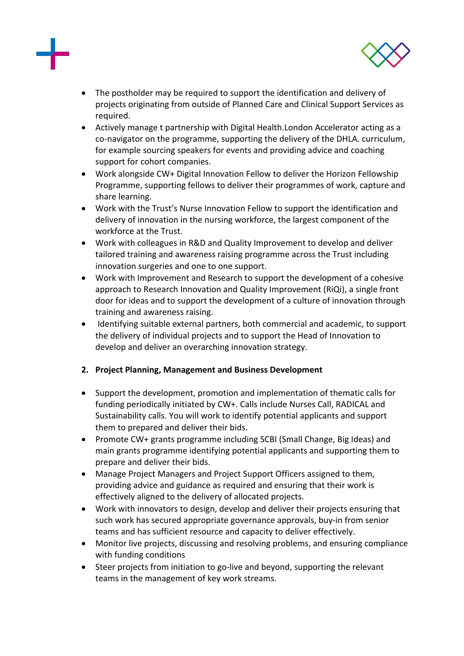



- The postholder may be required to support the identification and delivery of projects originating from outside of Planned Care and Clinical Support Services as required.
- Actively manage t partnership with Digital Health.London Accelerator acting as a co-navigator on the programme, supporting the delivery of the DHLA. curriculum, for example sourcing speakers for events and providing advice and coaching support for cohort companies.
- Work alongside CW+ Digital Innovation Fellow to deliver the Horizon Fellowship Programme, supporting fellows to deliver their programmes of work, capture and share learning.
- Work with the Trust's Nurse Innovation Fellow to support the identification and delivery of innovation in the nursing workforce, the largest component of the workforce at the Trust.
- Work with colleagues in R&D and Quality Improvement to develop and deliver tailored training and awareness raising programme across the Trust including innovation surgeries and one to one support.
- Work with Improvement and Research to support the development of a cohesive approach to Research Innovation and Quality Improvement (RiQi), a single front door for ideas and to support the development of a culture of innovation through training and awareness raising.
- Identifying suitable external partners, both commercial and academic, to support the delivery of individual projects and to support the Head of Innovation to develop and deliver an overarching innovation strategy.

# **2. Project Planning, Management and Business Development**

- Support the development, promotion and implementation of thematic calls for funding periodically initiated by CW+. Calls include Nurses Call, RADICAL and Sustainability calls. You will work to identify potential applicants and support them to prepared and deliver their bids.
- Promote CW+ grants programme including SCBI (Small Change, Big Ideas) and main grants programme identifying potential applicants and supporting them to prepare and deliver their bids.
- Manage Project Managers and Project Support Officers assigned to them, providing advice and guidance as required and ensuring that their work is effectively aligned to the delivery of allocated projects.
- Work with innovators to design, develop and deliver their projects ensuring that such work has secured appropriate governance approvals, buy-in from senior teams and has sufficient resource and capacity to deliver effectively.
- Monitor live projects, discussing and resolving problems, and ensuring compliance with funding conditions
- Steer projects from initiation to go-live and beyond, supporting the relevant teams in the management of key work streams.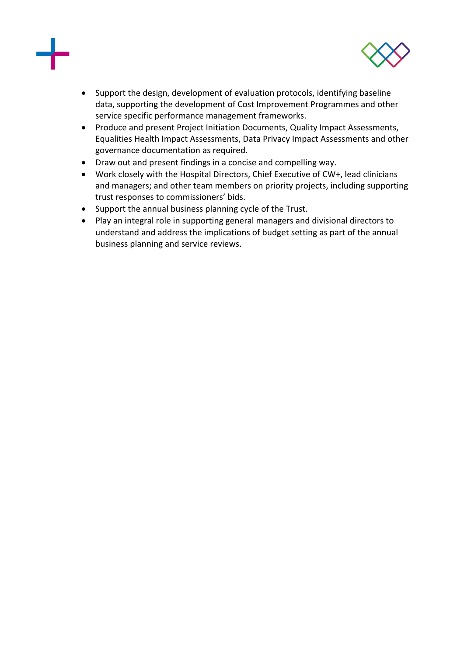



- Support the design, development of evaluation protocols, identifying baseline data, supporting the development of Cost Improvement Programmes and other service specific performance management frameworks.
- Produce and present Project Initiation Documents, Quality Impact Assessments, Equalities Health Impact Assessments, Data Privacy Impact Assessments and other governance documentation as required.
- Draw out and present findings in a concise and compelling way.
- Work closely with the Hospital Directors, Chief Executive of CW+, lead clinicians and managers; and other team members on priority projects, including supporting trust responses to commissioners' bids.
- Support the annual business planning cycle of the Trust.
- Play an integral role in supporting general managers and divisional directors to understand and address the implications of budget setting as part of the annual business planning and service reviews.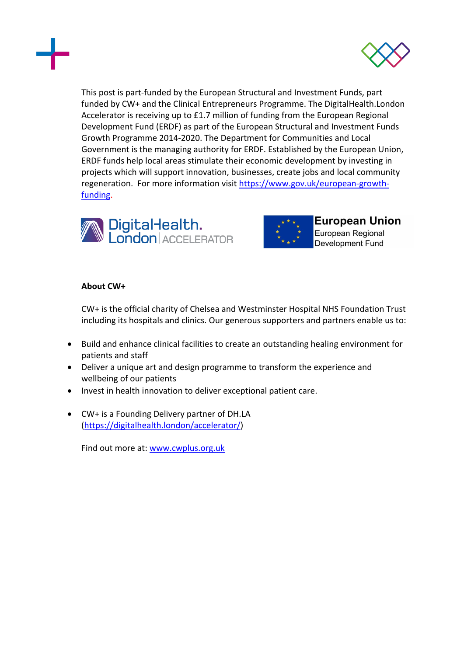



This post is part-funded by the European Structural and Investment Funds, part funded by CW+ and the Clinical Entrepreneurs Programme. The DigitalHealth.London Accelerator is receiving up to £1.7 million of funding from the European Regional Development Fund (ERDF) as part of the European Structural and Investment Funds Growth Programme 2014-2020. The Department for Communities and Local Government is the managing authority for ERDF. Established by the European Union, ERDF funds help local areas stimulate their economic development by investing in projects which will support innovation, businesses, create jobs and local community regeneration. For more information visit https://www.gov.uk/european-growthfunding.





**European Union** European Regional Development Fund

## **About CW+**

CW+ is the official charity of Chelsea and Westminster Hospital NHS Foundation Trust including its hospitals and clinics. Our generous supporters and partners enable us to:

- Build and enhance clinical facilities to create an outstanding healing environment for patients and staff
- Deliver a unique art and design programme to transform the experience and wellbeing of our patients
- Invest in health innovation to deliver exceptional patient care.
- CW+ is a Founding Delivery partner of DH.LA (https://digitalhealth.london/accelerator/)

Find out more at: www.cwplus.org.uk